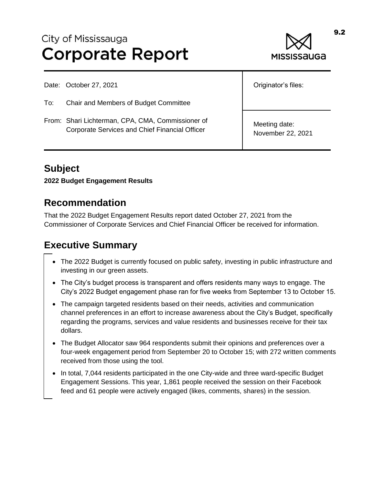# City of Mississauga **Corporate Report**



Date: October 27, 2021

To: Chair and Members of Budget Committee

From: Shari Lichterman, CPA, CMA, Commissioner of Corporate Services and Chief Financial Officer

Originator's files:

Meeting date: November 22, 2021

# **Subject**

**2022 Budget Engagement Results**

# **Recommendation**

That the 2022 Budget Engagement Results report dated October 27, 2021 from the Commissioner of Corporate Services and Chief Financial Officer be received for information.

# **Executive Summary**

- The 2022 Budget is currently focused on public safety, investing in public infrastructure and investing in our green assets.
- The City's budget process is transparent and offers residents many ways to engage. The City's 2022 Budget engagement phase ran for five weeks from September 13 to October 15.
- The campaign targeted residents based on their needs, activities and communication channel preferences in an effort to increase awareness about the City's Budget, specifically regarding the programs, services and value residents and businesses receive for their tax dollars.
- The Budget Allocator saw 964 respondents submit their opinions and preferences over a four-week engagement period from September 20 to October 15; with 272 written comments received from those using the tool.
- In total, 7,044 residents participated in the one City-wide and three ward-specific Budget Engagement Sessions. This year, 1,861 people received the session on their Facebook feed and 61 people were actively engaged (likes, comments, shares) in the session.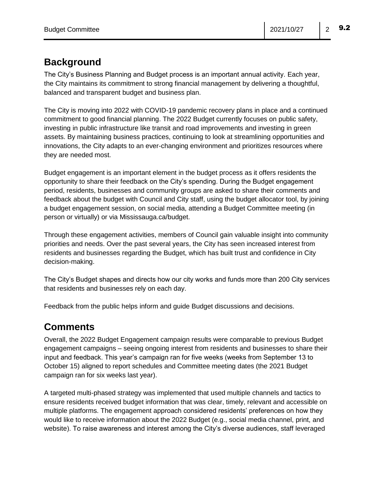### **Background**

The City's Business Planning and Budget process is an important annual activity. Each year, the City maintains its commitment to strong financial management by delivering a thoughtful, balanced and transparent budget and business plan.

The City is moving into 2022 with COVID-19 pandemic recovery plans in place and a continued commitment to good financial planning. The 2022 Budget currently focuses on public safety, investing in public infrastructure like transit and road improvements and investing in green assets. By maintaining business practices, continuing to look at streamlining opportunities and innovations, the City adapts to an ever-changing environment and prioritizes resources where they are needed most.

Budget engagement is an important element in the budget process as it offers residents the opportunity to share their feedback on the City's spending. During the Budget engagement period, residents, businesses and community groups are asked to share their comments and feedback about the budget with Council and City staff, using the budget allocator tool, by joining a budget engagement session, on social media, attending a Budget Committee meeting (in person or virtually) or via Mississauga.ca/budget.

Through these engagement activities, members of Council gain valuable insight into community priorities and needs. Over the past several years, the City has seen increased interest from residents and businesses regarding the Budget, which has built trust and confidence in City decision-making.

The City's Budget shapes and directs how our city works and funds more than 200 City services that residents and businesses rely on each day.

Feedback from the public helps inform and guide Budget discussions and decisions.

## **Comments**

Overall, the 2022 Budget Engagement campaign results were comparable to previous Budget engagement campaigns – seeing ongoing interest from residents and businesses to share their input and feedback. This year's campaign ran for five weeks (weeks from September 13 to October 15) aligned to report schedules and Committee meeting dates (the 2021 Budget campaign ran for six weeks last year).

A targeted multi-phased strategy was implemented that used multiple channels and tactics to ensure residents received budget information that was clear, timely, relevant and accessible on multiple platforms. The engagement approach considered residents' preferences on how they would like to receive information about the 2022 Budget (e.g., social media channel, print, and website). To raise awareness and interest among the City's diverse audiences, staff leveraged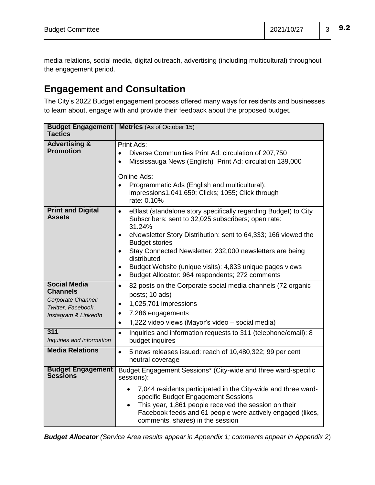media relations, social media, digital outreach, advertising (including multicultural) throughout the engagement period.

# **Engagement and Consultation**

The City's 2022 Budget engagement process offered many ways for residents and businesses to learn about, engage with and provide their feedback about the proposed budget.

| <b>Budget Engagement</b><br><b>Tactics</b>                                                                 | <b>Metrics</b> (As of October 15)                                                                                                                                                                                                                                                                                                                                                                                                                                         |
|------------------------------------------------------------------------------------------------------------|---------------------------------------------------------------------------------------------------------------------------------------------------------------------------------------------------------------------------------------------------------------------------------------------------------------------------------------------------------------------------------------------------------------------------------------------------------------------------|
| <b>Advertising &amp;</b><br><b>Promotion</b>                                                               | Print Ads:<br>Diverse Communities Print Ad: circulation of 207,750<br>$\bullet$<br>Mississauga News (English) Print Ad: circulation 139,000<br>$\bullet$<br>Online Ads:<br>Programmatic Ads (English and multicultural):<br>$\bullet$<br>impressions1,041,659; Clicks; 1055; Click through<br>rate: 0.10%                                                                                                                                                                 |
| <b>Print and Digital</b><br>Assets                                                                         | eBlast (standalone story specifically regarding Budget) to City<br>$\bullet$<br>Subscribers: sent to 32,025 subscribers; open rate:<br>31.24%<br>eNewsletter Story Distribution: sent to 64,333; 166 viewed the<br>$\bullet$<br><b>Budget stories</b><br>Stay Connected Newsletter: 232,000 newsletters are being<br>$\bullet$<br>distributed<br>Budget Website (unique visits): 4,833 unique pages views<br>Budget Allocator: 964 respondents; 272 comments<br>$\bullet$ |
| <b>Social Media</b><br><b>Channels</b><br>Corporate Channel:<br>Twitter, Facebook,<br>Instagram & LinkedIn | 82 posts on the Corporate social media channels (72 organic<br>$\bullet$<br>posts; 10 ads)<br>1,025,701 impressions<br>$\bullet$<br>7,286 engagements<br>$\bullet$<br>1,222 video views (Mayor's video - social media)<br>$\bullet$                                                                                                                                                                                                                                       |
| 311<br>Inquiries and information                                                                           | Inquiries and information requests to 311 (telephone/email): 8<br>$\bullet$<br>budget inquires                                                                                                                                                                                                                                                                                                                                                                            |
| <b>Media Relations</b>                                                                                     | 5 news releases issued: reach of 10,480,322; 99 per cent<br>$\bullet$<br>neutral coverage                                                                                                                                                                                                                                                                                                                                                                                 |
| <b>Budget Engagement</b><br><b>Sessions</b>                                                                | Budget Engagement Sessions* (City-wide and three ward-specific<br>sessions):<br>7,044 residents participated in the City-wide and three ward-<br>$\bullet$<br>specific Budget Engagement Sessions<br>This year, 1,861 people received the session on their<br>$\bullet$<br>Facebook feeds and 61 people were actively engaged (likes,<br>comments, shares) in the session                                                                                                 |

*Budget Allocator (Service Area results appear in Appendix 1; comments appear in Appendix 2*)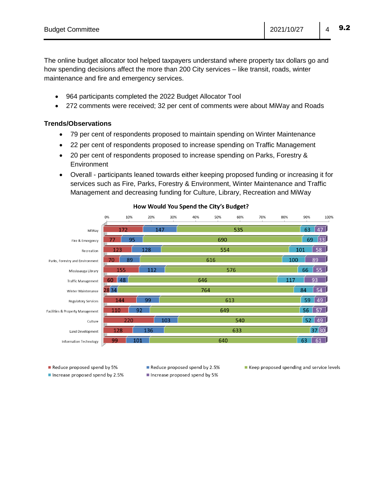The online budget allocator tool helped taxpayers understand where property tax dollars go and how spending decisions affect the more than 200 City services – like transit, roads, winter maintenance and fire and emergency services.

- 964 participants completed the 2022 Budget Allocator Tool
- 272 comments were received; 32 per cent of comments were about MiWay and Roads

#### **Trends/Observations**

- 79 per cent of respondents proposed to maintain spending on Winter Maintenance
- 22 per cent of respondents proposed to increase spending on Traffic Management
- 20 per cent of respondents proposed to increase spending on Parks, Forestry & Environment
- Overall participants leaned towards either keeping proposed funding or increasing it for services such as Fire, Parks, Forestry & Environment, Winter Maintenance and Traffic Management and decreasing funding for Culture, Library, Recreation and MiWay



#### How Would You Spend the City's Budget?

Reduce proposed spend by 5%

Increase proposed spend by 2.5%

Reduce proposed spend by 2.5% Increase proposed spend by 5%

■ Keep proposed spending and service levels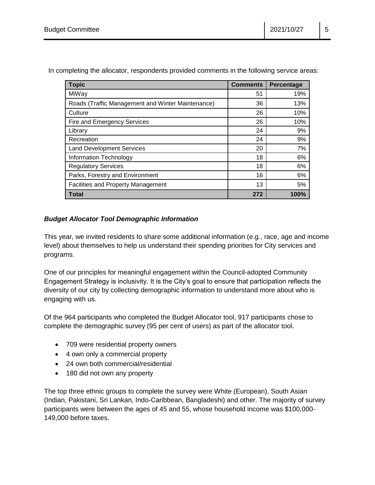| <b>Topic</b>                                      | <b>Comments</b> | Percentage |
|---------------------------------------------------|-----------------|------------|
| MiWay                                             | 51              | 19%        |
| Roads (Traffic Management and Winter Maintenance) | 36              | 13%        |
| Culture                                           | 26              | 10%        |
| Fire and Emergency Services                       | 26              | 10%        |
| Library                                           | 24              | 9%         |
| Recreation                                        | 24              | 9%         |
| <b>Land Development Services</b>                  | 20              | 7%         |
| Information Technology                            | 18              | 6%         |
| <b>Regulatory Services</b>                        | 18              | 6%         |
| Parks, Forestry and Environment                   | 16              | 6%         |
| <b>Facilities and Property Management</b>         | 13              | 5%         |
| Total                                             | 272             | 100%       |

In completing the allocator, respondents provided comments in the following service areas:

#### *Budget Allocator Tool Demographic Information*

This year, we invited residents to share some additional information (e.g., race, age and income level) about themselves to help us understand their spending priorities for City services and programs.

One of our principles for meaningful engagement within the Council-adopted Community Engagement Strategy is inclusivity. It is the City's goal to ensure that participation reflects the diversity of our city by collecting demographic information to understand more about who is engaging with us.

Of the 964 participants who completed the Budget Allocator tool, 917 participants chose to complete the demographic survey (95 per cent of users) as part of the allocator tool.

- 709 were residential property owners
- 4 own only a commercial property
- 24 own both commercial/residential
- 180 did not own any property

The top three ethnic groups to complete the survey were White (European), South Asian (Indian, Pakistani, Sri Lankan, Indo-Caribbean, Bangladeshi) and other. The majority of survey participants were between the ages of 45 and 55, whose household income was \$100,000- 149,000 before taxes.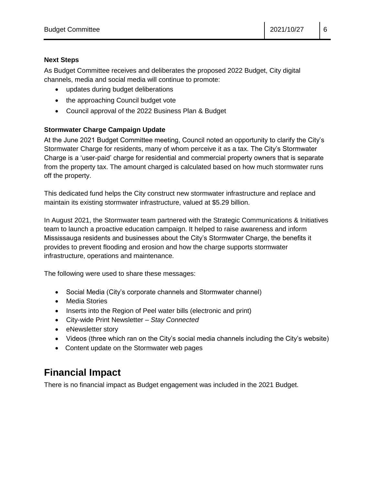#### **Next Steps**

As Budget Committee receives and deliberates the proposed 2022 Budget, City digital channels, media and social media will continue to promote:

- updates during budget deliberations
- the approaching Council budget vote
- Council approval of the 2022 Business Plan & Budget

#### **Stormwater Charge Campaign Update**

At the June 2021 Budget Committee meeting, Council noted an opportunity to clarify the City's Stormwater Charge for residents, many of whom perceive it as a tax. The City's Stormwater Charge is a 'user-paid' charge for residential and commercial property owners that is separate from the property tax. The amount charged is calculated based on how much stormwater runs off the property.

This dedicated fund helps the City construct new stormwater infrastructure and replace and maintain its existing stormwater infrastructure, valued at \$5.29 billion.

In August 2021, the Stormwater team partnered with the Strategic Communications & Initiatives team to launch a proactive education campaign. It helped to raise awareness and inform Mississauga residents and businesses about the City's Stormwater Charge, the benefits it provides to prevent flooding and erosion and how the charge supports stormwater infrastructure, operations and maintenance.

The following were used to share these messages:

- Social Media (City's corporate channels and Stormwater channel)
- Media Stories
- Inserts into the Region of Peel water bills (electronic and print)
- City-wide Print Newsletter *Stay Connected*
- eNewsletter story
- Videos (three which ran on the City's social media channels including the City's website)
- Content update on the Stormwater web pages

# **Financial Impact**

There is no financial impact as Budget engagement was included in the 2021 Budget.